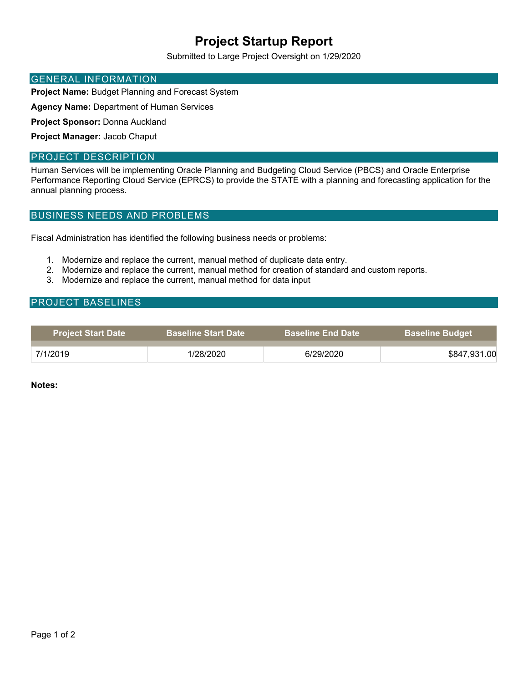# **Project Startup Report**

Submitted to Large Project Oversight on 1/29/2020

#### GENERAL INFORMATION

**Project Name:** Budget Planning and Forecast System

**Agency Name:** Department of Human Services

**Project Sponsor:** Donna Auckland

**Project Manager:** Jacob Chaput

#### PROJECT DESCRIPTION

Human Services will be implementing Oracle Planning and Budgeting Cloud Service (PBCS) and Oracle Enterprise Performance Reporting Cloud Service (EPRCS) to provide the STATE with a planning and forecasting application for the annual planning process.

#### BUSINESS NEEDS AND PROBLEMS

Fiscal Administration has identified the following business needs or problems:

- 1. Modernize and replace the current, manual method of duplicate data entry.
- 2. Modernize and replace the current, manual method for creation of standard and custom reports.
- 3. Modernize and replace the current, manual method for data input

#### PROJECT BASELINES

| <b>Project Start Date</b> | <b>Baseline Start Date</b> | <b>Baseline End Date</b> | <b>Baseline Budget</b> |
|---------------------------|----------------------------|--------------------------|------------------------|
| 7/1/2019                  | 1/28/2020                  | 6/29/2020                | \$847,931.00           |

**Notes:**